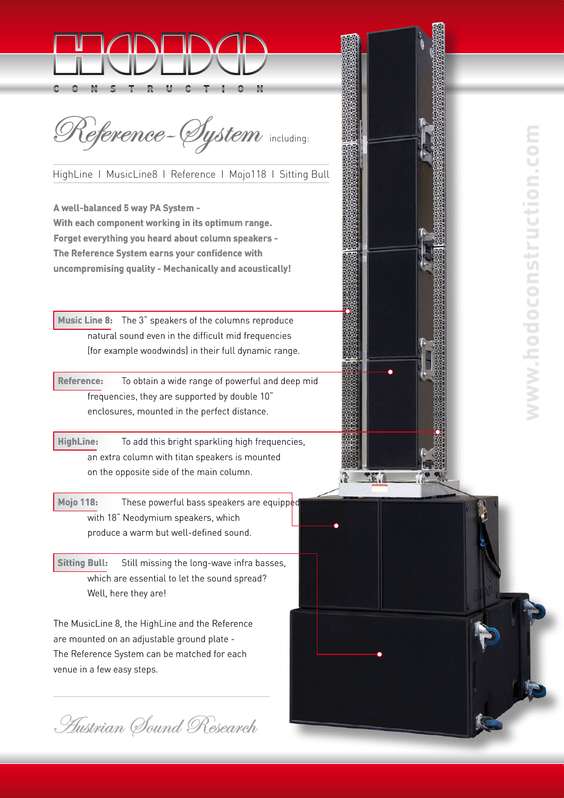

Reference- Øystem including:

HighLine I MusicLine8 I Reference I Mojo118 I Sitting Bull

**A well-balanced 5 way PA System - With each component working in its optimum range. Forget everything you heard about column speakers - The Reference System earns your confidence with uncompromising quality - Mechanically and acoustically!**

 **Music Line 8:** The 3" speakers of the columns reproduce natural sound even in the difficult mid frequencies (for example woodwinds) in their full dynamic range.

 **Reference:** To obtain a wide range of powerful and deep mid frequencies, they are supported by double 10" enclosures, mounted in the perfect distance.

 **HighLine:** To add this bright sparkling high frequencies, an extra column with titan speakers is mounted on the opposite side of the main column.

 **Mojo 118:** These powerful bass speakers are equipped with 18" Neodymium speakers, which produce a warm but well-defined sound.

 **Sitting Bull:** Still missing the long-wave infra basses, which are essential to let the sound spread? Well, here they are!

The MusicLine 8, the HighLine and the Reference are mounted on an adjustable ground plate - The Reference System can be matched for each venue in a few easy steps.

**Hustrian Sound Research**